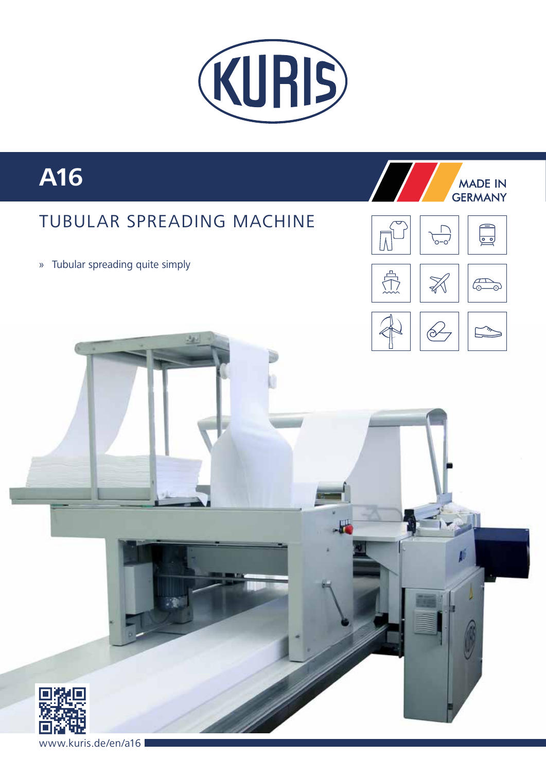

## A16

## **TUBULAR SPREADING MACHINE**

» Tubular spreading quite simply







**MADE IN**